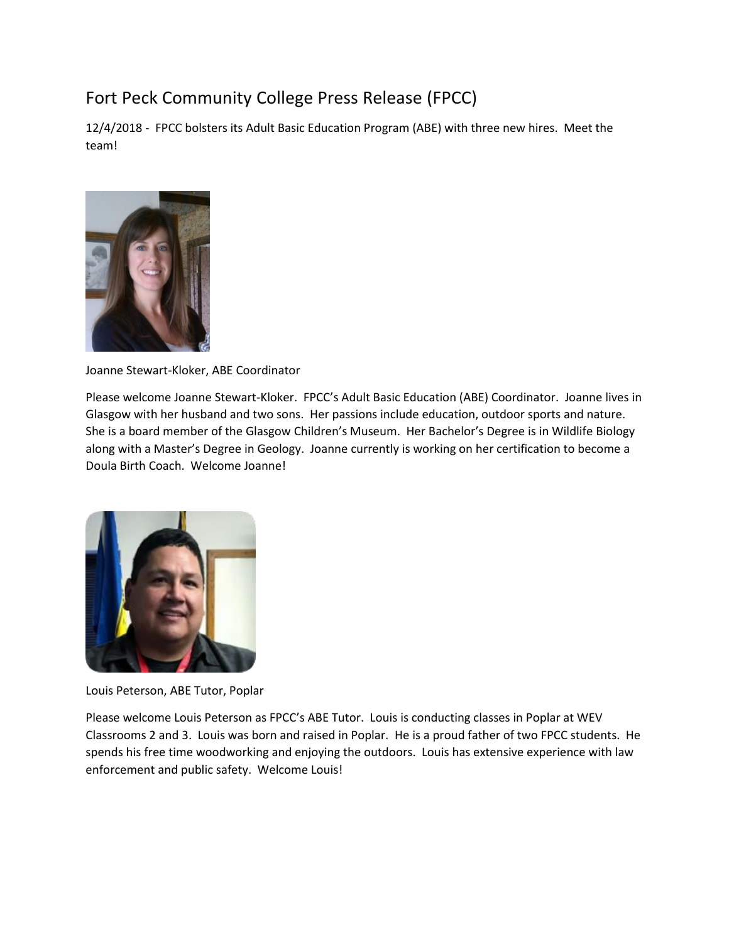## Fort Peck Community College Press Release (FPCC)

12/4/2018 - FPCC bolsters its Adult Basic Education Program (ABE) with three new hires. Meet the team!



Joanne Stewart-Kloker, ABE Coordinator

Please welcome Joanne Stewart-Kloker. FPCC's Adult Basic Education (ABE) Coordinator. Joanne lives in Glasgow with her husband and two sons. Her passions include education, outdoor sports and nature. She is a board member of the Glasgow Children's Museum. Her Bachelor's Degree is in Wildlife Biology along with a Master's Degree in Geology. Joanne currently is working on her certification to become a Doula Birth Coach. Welcome Joanne!



Louis Peterson, ABE Tutor, Poplar

Please welcome Louis Peterson as FPCC's ABE Tutor. Louis is conducting classes in Poplar at WEV Classrooms 2 and 3. Louis was born and raised in Poplar. He is a proud father of two FPCC students. He spends his free time woodworking and enjoying the outdoors. Louis has extensive experience with law enforcement and public safety. Welcome Louis!